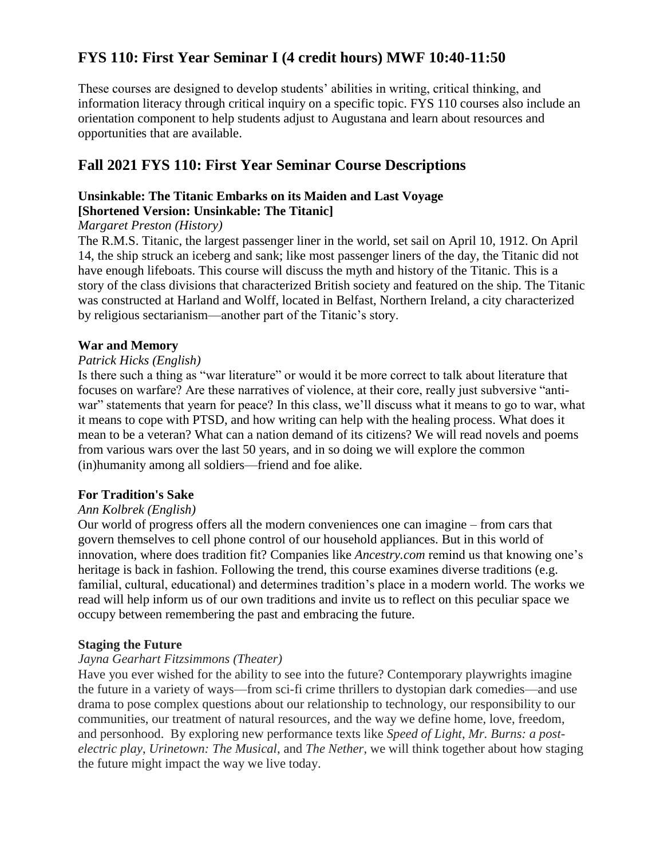# **FYS 110: First Year Seminar I (4 credit hours) MWF 10:40-11:50**

These courses are designed to develop students' abilities in writing, critical thinking, and information literacy through critical inquiry on a specific topic. FYS 110 courses also include an orientation component to help students adjust to Augustana and learn about resources and opportunities that are available.

# **Fall 2021 FYS 110: First Year Seminar Course Descriptions**

# **Unsinkable: The Titanic Embarks on its Maiden and Last Voyage**

# **[Shortened Version: Unsinkable: The Titanic]**

# *Margaret Preston (History)*

The R.M.S. Titanic, the largest passenger liner in the world, set sail on April 10, 1912. On April 14, the ship struck an iceberg and sank; like most passenger liners of the day, the Titanic did not have enough lifeboats. This course will discuss the myth and history of the Titanic. This is a story of the class divisions that characterized British society and featured on the ship. The Titanic was constructed at Harland and Wolff, located in Belfast, Northern Ireland, a city characterized by religious sectarianism—another part of the Titanic's story.

# **War and Memory**

#### *Patrick Hicks (English)*

Is there such a thing as "war literature" or would it be more correct to talk about literature that focuses on warfare? Are these narratives of violence, at their core, really just subversive "antiwar" statements that yearn for peace? In this class, we'll discuss what it means to go to war, what it means to cope with PTSD, and how writing can help with the healing process. What does it mean to be a veteran? What can a nation demand of its citizens? We will read novels and poems from various wars over the last 50 years, and in so doing we will explore the common (in)humanity among all soldiers—friend and foe alike.

# **For Tradition's Sake**

#### *Ann Kolbrek (English)*

Our world of progress offers all the modern conveniences one can imagine – from cars that govern themselves to cell phone control of our household appliances. But in this world of innovation, where does tradition fit? Companies like *Ancestry.com* remind us that knowing one's heritage is back in fashion. Following the trend, this course examines diverse traditions (e.g. familial, cultural, educational) and determines tradition's place in a modern world. The works we read will help inform us of our own traditions and invite us to reflect on this peculiar space we occupy between remembering the past and embracing the future.

#### **Staging the Future**

#### *Jayna Gearhart Fitzsimmons (Theater)*

Have you ever wished for the ability to see into the future? Contemporary playwrights imagine the future in a variety of ways—from sci-fi crime thrillers to dystopian dark comedies—and use drama to pose complex questions about our relationship to technology, our responsibility to our communities, our treatment of natural resources, and the way we define home, love, freedom, and personhood. By exploring new performance texts like *Speed of Light*, *Mr. Burns: a postelectric play*, *Urinetown: The Musical*, and *The Nether*, we will think together about how staging the future might impact the way we live today.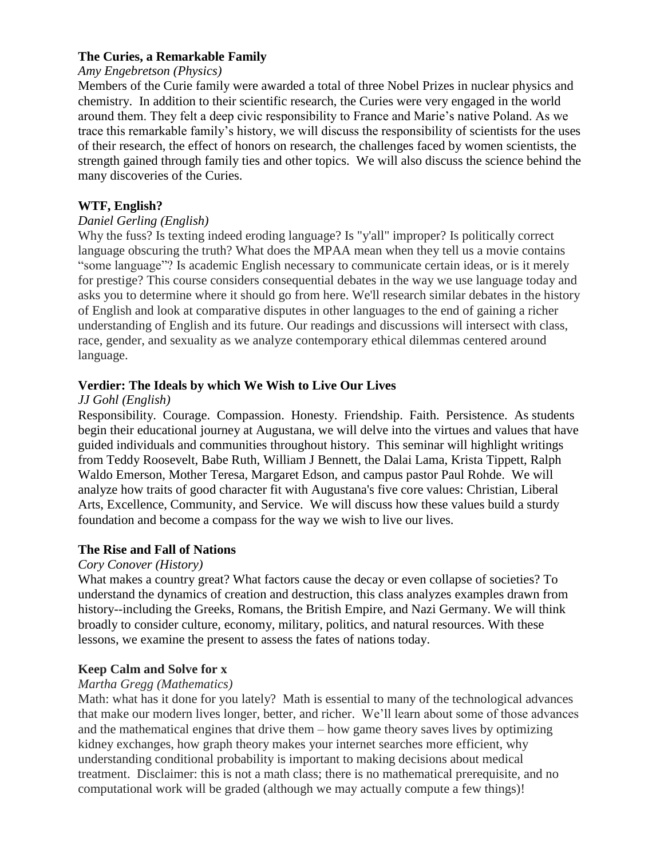# **The Curies, a Remarkable Family**

### *Amy Engebretson (Physics)*

Members of the Curie family were awarded a total of three Nobel Prizes in nuclear physics and chemistry. In addition to their scientific research, the Curies were very engaged in the world around them. They felt a deep civic responsibility to France and Marie's native Poland. As we trace this remarkable family's history, we will discuss the responsibility of scientists for the uses of their research, the effect of honors on research, the challenges faced by women scientists, the strength gained through family ties and other topics. We will also discuss the science behind the many discoveries of the Curies.

# **WTF, English?**

#### *Daniel Gerling (English)*

Why the fuss? Is texting indeed eroding language? Is "y'all" improper? Is politically correct language obscuring the truth? What does the MPAA mean when they tell us a movie contains "some language"? Is academic English necessary to communicate certain ideas, or is it merely for prestige? This course considers consequential debates in the way we use language today and asks you to determine where it should go from here. We'll research similar debates in the history of English and look at comparative disputes in other languages to the end of gaining a richer understanding of English and its future. Our readings and discussions will intersect with class, race, gender, and sexuality as we analyze contemporary ethical dilemmas centered around language.

# **Verdier: The Ideals by which We Wish to Live Our Lives**

#### *JJ Gohl (English)*

Responsibility. Courage. Compassion. Honesty. Friendship. Faith. Persistence. As students begin their educational journey at Augustana, we will delve into the virtues and values that have guided individuals and communities throughout history. This seminar will highlight writings from Teddy Roosevelt, Babe Ruth, William J Bennett, the Dalai Lama, Krista Tippett, Ralph Waldo Emerson, Mother Teresa, Margaret Edson, and campus pastor Paul Rohde. We will analyze how traits of good character fit with Augustana's five core values: Christian, Liberal Arts, Excellence, Community, and Service. We will discuss how these values build a sturdy foundation and become a compass for the way we wish to live our lives.

#### **The Rise and Fall of Nations**

#### *Cory Conover (History)*

What makes a country great? What factors cause the decay or even collapse of societies? To understand the dynamics of creation and destruction, this class analyzes examples drawn from history--including the Greeks, Romans, the British Empire, and Nazi Germany. We will think broadly to consider culture, economy, military, politics, and natural resources. With these lessons, we examine the present to assess the fates of nations today.

#### **Keep Calm and Solve for x**

#### *Martha Gregg (Mathematics)*

Math: what has it done for you lately? Math is essential to many of the technological advances that make our modern lives longer, better, and richer. We'll learn about some of those advances and the mathematical engines that drive them – how game theory saves lives by optimizing kidney exchanges, how graph theory makes your internet searches more efficient, why understanding conditional probability is important to making decisions about medical treatment. Disclaimer: this is not a math class; there is no mathematical prerequisite, and no computational work will be graded (although we may actually compute a few things)!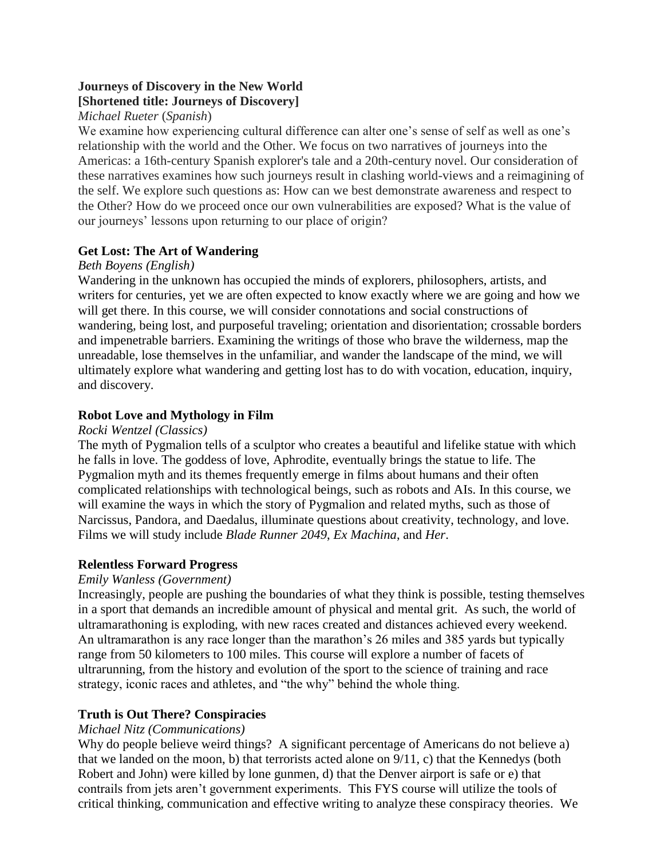# **Journeys of Discovery in the New World [Shortened title: Journeys of Discovery]**

# *Michael Rueter* (*Spanish*)

We examine how experiencing cultural difference can alter one's sense of self as well as one's relationship with the world and the Other. We focus on two narratives of journeys into the Americas: a 16th-century Spanish explorer's tale and a 20th-century novel. Our consideration of these narratives examines how such journeys result in clashing world-views and a reimagining of the self. We explore such questions as: How can we best demonstrate awareness and respect to the Other? How do we proceed once our own vulnerabilities are exposed? What is the value of our journeys' lessons upon returning to our place of origin?

# **Get Lost: The Art of Wandering**

# *Beth Boyens (English)*

Wandering in the unknown has occupied the minds of explorers, philosophers, artists, and writers for centuries, yet we are often expected to know exactly where we are going and how we will get there. In this course, we will consider connotations and social constructions of wandering, being lost, and purposeful traveling; orientation and disorientation; crossable borders and impenetrable barriers. Examining the writings of those who brave the wilderness, map the unreadable, lose themselves in the unfamiliar, and wander the landscape of the mind, we will ultimately explore what wandering and getting lost has to do with vocation, education, inquiry, and discovery.

# **Robot Love and Mythology in Film**

#### *Rocki Wentzel (Classics)*

The myth of Pygmalion tells of a sculptor who creates a beautiful and lifelike statue with which he falls in love. The goddess of love, Aphrodite, eventually brings the statue to life. The Pygmalion myth and its themes frequently emerge in films about humans and their often complicated relationships with technological beings, such as robots and AIs. In this course, we will examine the ways in which the story of Pygmalion and related myths, such as those of Narcissus, Pandora, and Daedalus, illuminate questions about creativity, technology, and love. Films we will study include *Blade Runner 2049*, *Ex Machina*, and *Her*.

# **Relentless Forward Progress**

# *Emily Wanless (Government)*

Increasingly, people are pushing the boundaries of what they think is possible, testing themselves in a sport that demands an incredible amount of physical and mental grit. As such, the world of ultramarathoning is exploding, with new races created and distances achieved every weekend. An ultramarathon is any race longer than the marathon's 26 miles and 385 yards but typically range from 50 kilometers to 100 miles. This course will explore a number of facets of ultrarunning, from the history and evolution of the sport to the science of training and race strategy, iconic races and athletes, and "the why" behind the whole thing.

# **Truth is Out There? Conspiracies**

#### *Michael Nitz (Communications)*

Why do people believe weird things? A significant percentage of Americans do not believe a) that we landed on the moon, b) that terrorists acted alone on 9/11, c) that the Kennedys (both Robert and John) were killed by lone gunmen, d) that the Denver airport is safe or e) that contrails from jets aren't government experiments. This FYS course will utilize the tools of critical thinking, communication and effective writing to analyze these conspiracy theories. We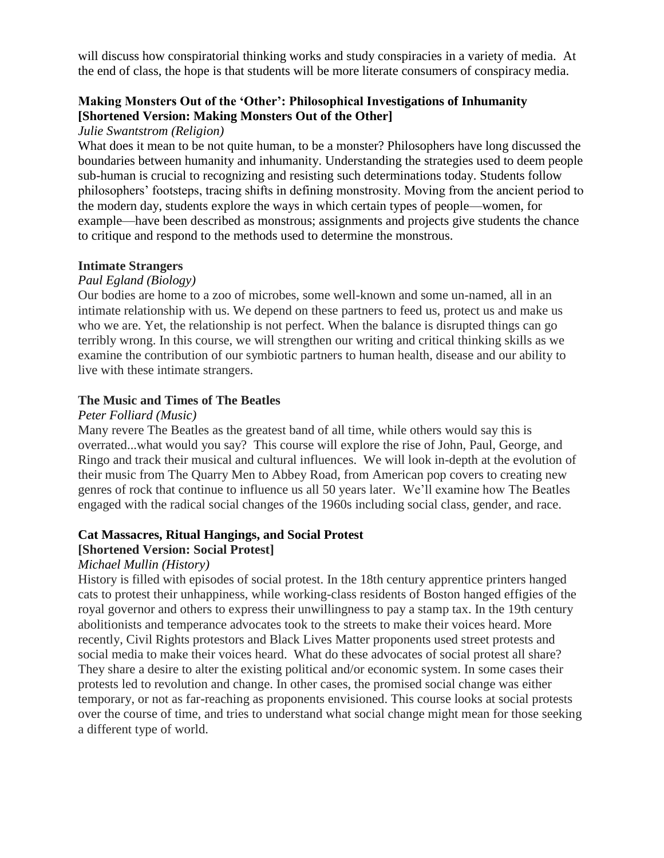will discuss how conspiratorial thinking works and study conspiracies in a variety of media. At the end of class, the hope is that students will be more literate consumers of conspiracy media.

# **Making Monsters Out of the 'Other': Philosophical Investigations of Inhumanity [Shortened Version: Making Monsters Out of the Other]**

#### *Julie Swantstrom (Religion)*

What does it mean to be not quite human, to be a monster? Philosophers have long discussed the boundaries between humanity and inhumanity. Understanding the strategies used to deem people sub-human is crucial to recognizing and resisting such determinations today. Students follow philosophers' footsteps, tracing shifts in defining monstrosity. Moving from the ancient period to the modern day, students explore the ways in which certain types of people—women, for example—have been described as monstrous; assignments and projects give students the chance to critique and respond to the methods used to determine the monstrous.

#### **Intimate Strangers**

#### *Paul Egland (Biology)*

Our bodies are home to a zoo of microbes, some well-known and some un-named, all in an intimate relationship with us. We depend on these partners to feed us, protect us and make us who we are. Yet, the relationship is not perfect. When the balance is disrupted things can go terribly wrong. In this course, we will strengthen our writing and critical thinking skills as we examine the contribution of our symbiotic partners to human health, disease and our ability to live with these intimate strangers.

#### **The Music and Times of The Beatles**

#### *Peter Folliard (Music)*

Many revere The Beatles as the greatest band of all time, while others would say this is overrated...what would you say? This course will explore the rise of John, Paul, George, and Ringo and track their musical and cultural influences. We will look in-depth at the evolution of their music from The Quarry Men to Abbey Road, from American pop covers to creating new genres of rock that continue to influence us all 50 years later. We'll examine how The Beatles engaged with the radical social changes of the 1960s including social class, gender, and race.

#### **Cat Massacres, Ritual Hangings, and Social Protest**

#### **[Shortened Version: Social Protest]**

#### *Michael Mullin (History)*

History is filled with episodes of social protest. In the 18th century apprentice printers hanged cats to protest their unhappiness, while working-class residents of Boston hanged effigies of the royal governor and others to express their unwillingness to pay a stamp tax. In the 19th century abolitionists and temperance advocates took to the streets to make their voices heard. More recently, Civil Rights protestors and Black Lives Matter proponents used street protests and social media to make their voices heard. What do these advocates of social protest all share? They share a desire to alter the existing political and/or economic system. In some cases their protests led to revolution and change. In other cases, the promised social change was either temporary, or not as far-reaching as proponents envisioned. This course looks at social protests over the course of time, and tries to understand what social change might mean for those seeking a different type of world.